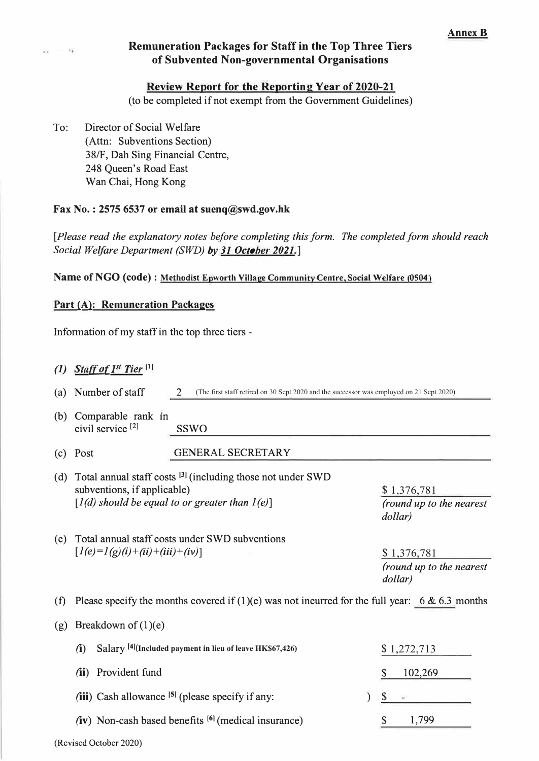# ., **Remuneration Packages for Staff in the Top Three Tiers of Subvented Non-governmental Organisations**

#### **Review Report for the Reporting Year of 2020-21**

**(to be completed if not exempt from the Government Guidelines)** 

**To: Director of Social Welfare (Attn: Subventions Section) 38/F, Dah Sing Financial Centre, 248 Queen's Road East Wan Chai, Hong Kong** 

### **Fax No.: 2575 6537 or email at suenq@swd.gov.hk**

**[Please read the explanatory notes before completing this form. The completed form should reach Social Welfare Department (SWD) by 31 October 2021.]** 

**Name of NGO (code) : Methodist Epworth Village Community Centre, Social Welfare (0504)** 

### **Part (A): Remuneration Packages**

**Information of my staff in the top three tiers -**

# **(1) Staff of 1st Tier** [1]

**(a) Number of staff 2**  (The first staff retired on 30 Sept 2020 and the successor was employed on 21 Sept 2020)

- (b) Comparable rank in civil service<sup>[2]</sup> SSWO
- **(c) Post GENERAL SECRETARY**
- **(d) Total annual staff costs 131 (including those not under SWD subventions, if applicable)**  $[1(d)$  should be equal to or greater than  $1(e)$ ]
- **\$**1,376,781 **(round up to the nearest dollar)**

**(e) Total annual staff costs under SWD subventions**  $[1(e)=1(g)(i)+(ii)+(iii)+(iv)]$ 

**\$**1,376,781 **(round up to the nearest dollar)** 

**(f) Please specify the months covered if (1)(e) was not incurred for the full year: 6 & 6.3 months**

### **(g) Breakdown of (1)(e)**

| $\mathbf{u}$ | Salary <sup>[4]</sup> (Included payment in lieu of leave HK\$67,426) |       | \$1,272,713 |
|--------------|----------------------------------------------------------------------|-------|-------------|
|              | (ii) Provident fund                                                  |       | 102,269     |
|              |                                                                      |       |             |
|              | (iii) Cash allowance $\left  \right $ (please specify if any:        | $S =$ |             |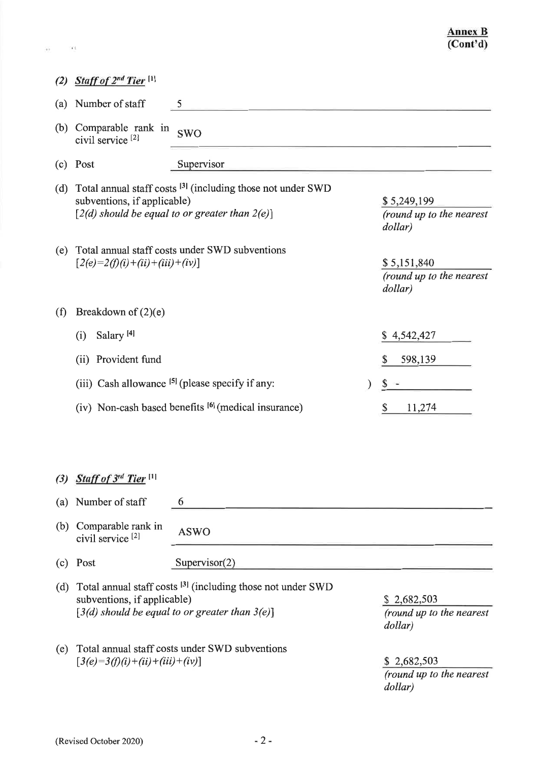| (2) | Staff of 2 <sup>nd</sup> Tier <sup>[1]</sup>                                                                                                                                                                       |                                                                                                                             |                                                    |
|-----|--------------------------------------------------------------------------------------------------------------------------------------------------------------------------------------------------------------------|-----------------------------------------------------------------------------------------------------------------------------|----------------------------------------------------|
| (a) | Number of staff                                                                                                                                                                                                    | 5                                                                                                                           |                                                    |
| (b) | Comparable rank in<br>civil service <sup>[2]</sup>                                                                                                                                                                 | <b>SWO</b>                                                                                                                  |                                                    |
| (c) | Post                                                                                                                                                                                                               | Supervisor                                                                                                                  |                                                    |
| (d) | subventions, if applicable)                                                                                                                                                                                        | Total annual staff costs <sup>[3]</sup> (including those not under SWD<br>[2(d) should be equal to or greater than $2(e)$ ] | \$5,249,199<br>(round up to the nearest<br>dollar) |
| (e) | $[2(e)=2(f)(i)+(ii)+(iii)+(iv)]$                                                                                                                                                                                   | Total annual staff costs under SWD subventions                                                                              | \$5,151,840<br>(round up to the nearest<br>dollar) |
| (f) | Breakdown of $(2)(e)$                                                                                                                                                                                              |                                                                                                                             |                                                    |
|     | Salary <sup>[4]</sup><br>(i)                                                                                                                                                                                       |                                                                                                                             | \$4,542,427                                        |
|     | (ii) Provident fund                                                                                                                                                                                                |                                                                                                                             | 598,139<br>\$                                      |
|     |                                                                                                                                                                                                                    | (iii) Cash allowance <sup>[5]</sup> (please specify if any:                                                                 | \$                                                 |
|     | (iv) Non-cash based benefits [6] (medical insurance)                                                                                                                                                               |                                                                                                                             | \$<br>11,274                                       |
|     |                                                                                                                                                                                                                    |                                                                                                                             |                                                    |
| (3) | Staff of 3rd Tier <sup>[1]</sup>                                                                                                                                                                                   |                                                                                                                             |                                                    |
| (a) | Number of staff                                                                                                                                                                                                    | 6                                                                                                                           |                                                    |
| (b) | Comparable rank in<br>civil service <sup>[2]</sup>                                                                                                                                                                 | <b>ASWO</b>                                                                                                                 |                                                    |
| (c) | Post                                                                                                                                                                                                               | Supervisor(2)                                                                                                               |                                                    |
| (d) | Total annual staff costs <sup>[3]</sup> (including those not under SWD<br>subventions, if applicable)<br>\$2,682,503<br>$[3(d)$ should be equal to or greater than $3(e)$ ]<br>(round up to the nearest<br>dollar) |                                                                                                                             |                                                    |
| (e) | $[3(e)=3(f)(i)+(ii)+(iii)+(iv)]$                                                                                                                                                                                   | Total annual staff costs under SWD subventions                                                                              | \$2,682,503<br>(round up to the nearest<br>dollar) |

 $\alpha$  .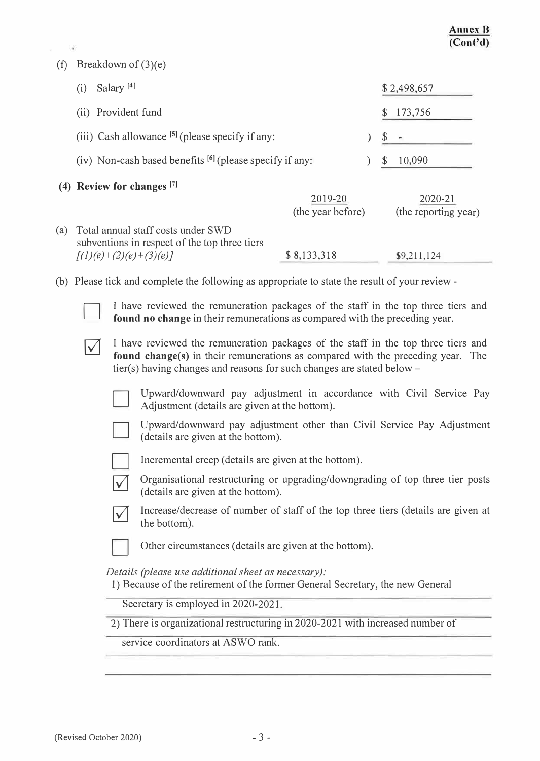#### **(t) Breakdown of (3)(e)**

|     | Salary <sup>[4]</sup><br>(i)                                                                                         |                              | \$2,498,657                     |  |
|-----|----------------------------------------------------------------------------------------------------------------------|------------------------------|---------------------------------|--|
|     | (ii) Provident fund                                                                                                  |                              | 173,756<br>S                    |  |
|     | (iii) Cash allowance $[5]$ (please specify if any:                                                                   |                              |                                 |  |
|     | (iv) Non-cash based benefits $[6]$ (please specify if any:                                                           | 10,090<br>\$.                |                                 |  |
|     | $(4)$ Review for changes $[7]$                                                                                       | 2019-20<br>(the year before) | 2020-21<br>(the reporting year) |  |
| (a) | Total annual staff costs under SWD<br>subventions in respect of the top three tiers<br>$\sqrt{(1)(e)+(2)(e)+(3)(e)}$ | \$8,133,318                  | \$9,211,124                     |  |
|     | (b) Please tick and complete the following as appropriate to state the result of your review -                       |                              |                                 |  |

**I** have reviewed the remuneration packages of the staff in the top three tiers and **found no change** in their remunerations as compared with the preceding year.<br>  $\sqrt{\phantom{a}}$  I have reviewed the remuneration packages of th **found no change in their remunerations as compared with the preceding year.** 

**found change(s) in their remunerations as compared with the preceding year. The tier(s) having changes and reasons for such changes are stated below-**



**Upward/downward pay adjustment in accordance with Civil Service Pay Adjustment (details are given at the bottom).** 



**Upward/downward pay adjustment other than Civil Service Pay Adjustment (details are given at the bottom).** 



**Incremental creep (details are given at the bottom).** 



**Organisational restructuring or upgrading/downgrading of top three tier posts (details are given at the bottom).** 



**Increase/decrease of number of staff of the top three tiers (details are given at the bottom).** 



**Other circumstances (details are given at the bottom).** 

**Details (please use additional sheet as necessary):** 

**I) Because of the retirement of the former General Secretary, the new General**

**Secretary is employed in 2020-2021.**

**2) There is organizational restructuring in 2020-2021 with increased number of**

**service coordinators at ASWO rank.**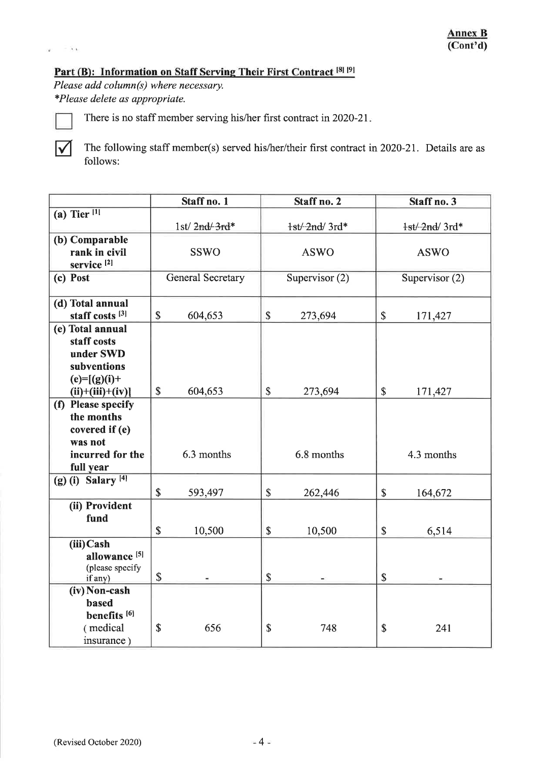# Part (B): Information on Staff Serving Their First Contract [8] [9]

Please add column(s) where necessary. \*Please delete as appropriate.

 $\sqrt{}$ 

 $-3.1$ 

×

There is no staff member serving his/her first contract in 2020-21.

The following staff member(s) served his/her/their first contract in 2020-21. Details are as follows:

|                                                                                                    | Staff no. 1              | Staff no. 2             | Staff no. 3                          |
|----------------------------------------------------------------------------------------------------|--------------------------|-------------------------|--------------------------------------|
| (a) Tier $\overline{11}$                                                                           |                          |                         |                                      |
|                                                                                                    | $1st/2nd/3rd*$           | $1st/2nd/3rd*$          | $1st/2nd/3rd*$                       |
| (b) Comparable<br>rank in civil                                                                    | <b>SSWO</b>              | <b>ASWO</b>             | <b>ASWO</b>                          |
| service <sup>[2]</sup>                                                                             |                          |                         |                                      |
| (c) Post                                                                                           | <b>General Secretary</b> | Supervisor $(2)$        | Supervisor $(2)$                     |
| (d) Total annual<br>staff costs <sup>[3]</sup>                                                     | \$<br>604,653            | $\mathbb{S}$<br>273,694 | \$<br>171,427                        |
| (e) Total annual<br>staff costs<br>under SWD<br>subventions<br>$(e)=[(g)(i)+$<br>$(ii)+(iii)+(iv)$ | $\mathsf{\$}$<br>604,653 | \$<br>273,694           | $\boldsymbol{\mathsf{S}}$<br>171,427 |
| (f) Please specify<br>the months<br>covered if (e)<br>was not<br>incurred for the<br>full year     | 6.3 months               | 6.8 months              | 4.3 months                           |
| $(g)$ (i) Salary <sup>[4]</sup>                                                                    | \$<br>593,497            | \$<br>262,446           | \$<br>164,672                        |
| (ii) Provident<br>fund                                                                             | \$<br>10,500             | \$<br>10,500            | \$<br>6,514                          |
| (iii) Cash<br>allowance <sup>[5]</sup><br>(please specify<br>if any)                               | $\mathbf S$              | \$                      | $\mathsf{\$}$                        |
| (iv) Non-cash<br>based<br>benefits <sup>[6]</sup>                                                  |                          |                         |                                      |
| (medical<br>insurance)                                                                             | \$<br>656                | \$<br>748               | 241<br>\$                            |